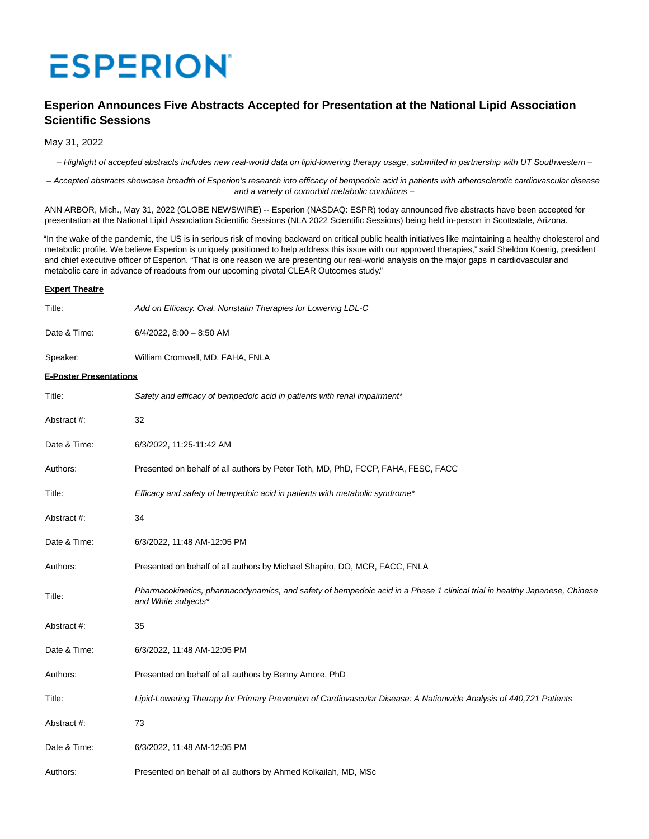# **ESPERION**

# **Esperion Announces Five Abstracts Accepted for Presentation at the National Lipid Association Scientific Sessions**

May 31, 2022

– Highlight of accepted abstracts includes new real-world data on lipid-lowering therapy usage, submitted in partnership with UT Southwestern –

– Accepted abstracts showcase breadth of Esperion's research into efficacy of bempedoic acid in patients with atherosclerotic cardiovascular disease and a variety of comorbid metabolic conditions –

ANN ARBOR, Mich., May 31, 2022 (GLOBE NEWSWIRE) -- Esperion (NASDAQ: ESPR) today announced five abstracts have been accepted for presentation at the National Lipid Association Scientific Sessions (NLA 2022 Scientific Sessions) being held in-person in Scottsdale, Arizona.

"In the wake of the pandemic, the US is in serious risk of moving backward on critical public health initiatives like maintaining a healthy cholesterol and metabolic profile. We believe Esperion is uniquely positioned to help address this issue with our approved therapies," said Sheldon Koenig, president and chief executive officer of Esperion. "That is one reason we are presenting our real-world analysis on the major gaps in cardiovascular and metabolic care in advance of readouts from our upcoming pivotal CLEAR Outcomes study."

### **Expert Theatre**

| Title:                        | Add on Efficacy. Oral, Nonstatin Therapies for Lowering LDL-C                                                                                    |
|-------------------------------|--------------------------------------------------------------------------------------------------------------------------------------------------|
| Date & Time:                  | $6/4/2022$ , $8:00 - 8:50$ AM                                                                                                                    |
| Speaker:                      | William Cromwell, MD, FAHA, FNLA                                                                                                                 |
| <b>E-Poster Presentations</b> |                                                                                                                                                  |
| Title:                        | Safety and efficacy of bempedoic acid in patients with renal impairment*                                                                         |
| Abstract #:                   | 32                                                                                                                                               |
| Date & Time:                  | 6/3/2022, 11:25-11:42 AM                                                                                                                         |
| Authors:                      | Presented on behalf of all authors by Peter Toth, MD, PhD, FCCP, FAHA, FESC, FACC                                                                |
| Title:                        | Efficacy and safety of bempedoic acid in patients with metabolic syndrome*                                                                       |
| Abstract #:                   | 34                                                                                                                                               |
| Date & Time:                  | 6/3/2022, 11:48 AM-12:05 PM                                                                                                                      |
| Authors:                      | Presented on behalf of all authors by Michael Shapiro, DO, MCR, FACC, FNLA                                                                       |
| Title:                        | Pharmacokinetics, pharmacodynamics, and safety of bempedoic acid in a Phase 1 clinical trial in healthy Japanese, Chinese<br>and White subjects* |
| Abstract #:                   | 35                                                                                                                                               |
| Date & Time:                  | 6/3/2022, 11:48 AM-12:05 PM                                                                                                                      |
| Authors:                      | Presented on behalf of all authors by Benny Amore, PhD                                                                                           |
| Title:                        | Lipid-Lowering Therapy for Primary Prevention of Cardiovascular Disease: A Nationwide Analysis of 440,721 Patients                               |
| Abstract #:                   | 73                                                                                                                                               |
| Date & Time:                  | 6/3/2022, 11:48 AM-12:05 PM                                                                                                                      |
| Authors:                      | Presented on behalf of all authors by Ahmed Kolkailah, MD, MSc                                                                                   |